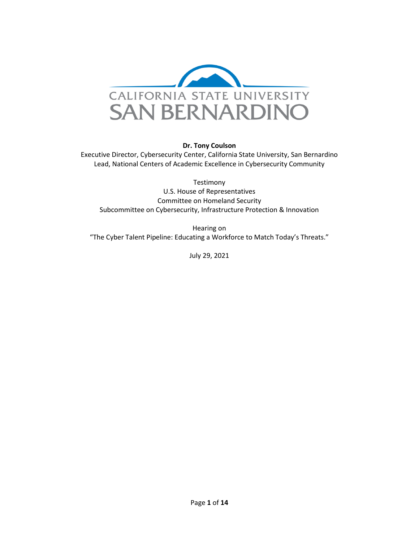

#### **Dr. Tony Coulson**

Executive Director, Cybersecurity Center, California State University, San Bernardino Lead, National Centers of Academic Excellence in Cybersecurity Community

Testimony U.S. House of Representatives Committee on Homeland Security Subcommittee on Cybersecurity, Infrastructure Protection & Innovation

Hearing on "The Cyber Talent Pipeline: Educating a Workforce to Match Today's Threats."

July 29, 2021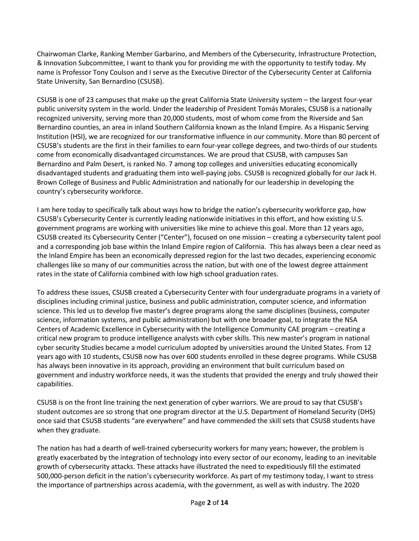Chairwoman Clarke, Ranking Member Garbarino, and Members of the Cybersecurity, Infrastructure Protection, & Innovation Subcommittee, I want to thank you for providing me with the opportunity to testify today. My name is Professor Tony Coulson and I serve as the Executive Director of the Cybersecurity Center at California State University, San Bernardino (CSUSB).

CSUSB is one of 23 campuses that make up the great California State University system – the largest four-year public university system in the world. Under the leadership of President Tomás Morales, CSUSB is a nationally recognized university, serving more than 20,000 students, most of whom come from the Riverside and San Bernardino counties, an area in inland Southern California known as the Inland Empire. As a Hispanic Serving Institution (HSI), we are recognized for our transformative influence in our community. More than 80 percent of CSUSB's students are the first in their families to earn four-year college degrees, and two-thirds of our students come from economically disadvantaged circumstances. We are proud that CSUSB, with campuses San Bernardino and Palm Desert, is ranked No. 7 among top colleges and universities educating economically disadvantaged students and graduating them into well-paying jobs. CSUSB is recognized globally for our Jack H. Brown College of Business and Public Administration and nationally for our leadership in developing the country's cybersecurity workforce.

I am here today to specifically talk about ways how to bridge the nation's cybersecurity workforce gap, how CSUSB's Cybersecurity Center is currently leading nationwide initiatives in this effort, and how existing U.S. government programs are working with universities like mine to achieve this goal. More than 12 years ago, CSUSB created its Cybersecurity Center ("Center"), focused on one mission – creating a cybersecurity talent pool and a corresponding job base within the Inland Empire region of California. This has always been a clear need as the Inland Empire has been an economically depressed region for the last two decades, experiencing economic challenges like so many of our communities across the nation, but with one of the lowest degree attainment rates in the state of California combined with low high school graduation rates.

To address these issues, CSUSB created a Cybersecurity Center with four undergraduate programs in a variety of disciplines including criminal justice, business and public administration, computer science, and information science. This led us to develop five master's degree programs along the same disciplines (business, computer science, information systems, and public administration) but with one broader goal, to integrate the NSA Centers of Academic Excellence in Cybersecurity with the Intelligence Community CAE program – creating a critical new program to produce intelligence analysts with cyber skills. This new master's program in national cyber security Studies became a model curriculum adopted by universities around the United States. From 12 years ago with 10 students, CSUSB now has over 600 students enrolled in these degree programs. While CSUSB has always been innovative in its approach, providing an environment that built curriculum based on government and industry workforce needs, it was the students that provided the energy and truly showed their capabilities.

CSUSB is on the front line training the next generation of cyber warriors. We are proud to say that CSUSB's student outcomes are so strong that one program director at the U.S. Department of Homeland Security (DHS) once said that CSUSB students "are everywhere" and have commended the skill sets that CSUSB students have when they graduate.

The nation has had a dearth of well-trained cybersecurity workers for many years; however, the problem is greatly exacerbated by the integration of technology into every sector of our economy, leading to an inevitable growth of cybersecurity attacks. These attacks have illustrated the need to expeditiously fill the estimated 500,000-person deficit in the nation's cybersecurity workforce. As part of my testimony today, I want to stress the importance of partnerships across academia, with the government, as well as with industry. The 2020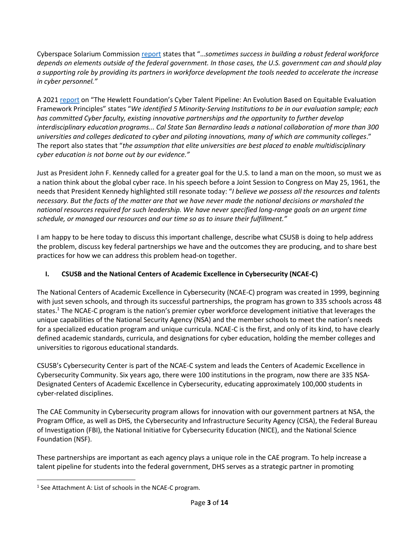Cyberspace Solarium Commission [report](https://www.solarium.gov/report) states that "…*sometimes success in building a robust federal workforce depends on elements outside of the federal government. In those cases, the U.S. government can and should play a supporting role by providing its partners in workforce development the tools needed to accelerate the increase in cyber personnel."*

A 2021 [report](https://hewlett.org/wp-content/uploads/2021/07/Final-Cyber-Evaluation-2021.pdf) on "The Hewlett Foundation's Cyber Talent Pipeline: An Evolution Based on Equitable Evaluation Framework Principles" states "*We identified 5 Minority-Serving Institutions to be in our evaluation sample; each has committed Cyber faculty, existing innovative partnerships and the opportunity to further develop interdisciplinary education programs... Cal State San Bernardino leads a national collaboration of more than 300 universities and colleges dedicated to cyber and piloting innovations, many of which are community colleges*." The report also states that "*the assumption that elite universities are best placed to enable multidisciplinary cyber education is not borne out by our evidence."*

Just as President John F. Kennedy called for a greater goal for the U.S. to land a man on the moon, so must we as a nation think about the global cyber race. In his speech before a Joint Session to Congress on May 25, 1961, the needs that President Kennedy highlighted still resonate today: "*I believe we possess all the resources and talents necessary. But the facts of the matter are that we have never made the national decisions or marshaled the national resources required for such leadership. We have never specified long-range goals on an urgent time schedule, or managed our resources and our time so as to insure their fulfillment."*

I am happy to be here today to discuss this important challenge, describe what CSUSB is doing to help address the problem, discuss key federal partnerships we have and the outcomes they are producing, and to share best practices for how we can address this problem head-on together.

# **I. CSUSB and the National Centers of Academic Excellence in Cybersecurity (NCAE-C)**

The National Centers of Academic Excellence in Cybersecurity (NCAE-C) program was created in 1999, beginning with just seven schools, and through its successful partnerships, the program has grown to 335 schools across 48 states.<sup>1</sup> The NCAE-C program is the nation's premier cyber workforce development initiative that leverages the unique capabilities of the National Security Agency (NSA) and the member schools to meet the nation's needs for a specialized education program and unique curricula. NCAE-C is the first, and only of its kind, to have clearly defined academic standards, curricula, and designations for cyber education, holding the member colleges and universities to rigorous educational standards.

CSUSB's Cybersecurity Center is part of the NCAE-C system and leads the Centers of Academic Excellence in Cybersecurity Community. Six years ago, there were 100 institutions in the program, now there are 335 NSA-Designated Centers of Academic Excellence in Cybersecurity, educating approximately 100,000 students in cyber-related disciplines.

The CAE Community in Cybersecurity program allows for innovation with our government partners at NSA, the Program Office, as well as DHS, the Cybersecurity and Infrastructure Security Agency (CISA), the Federal Bureau of Investigation (FBI), the National Initiative for Cybersecurity Education (NICE), and the National Science Foundation (NSF).

These partnerships are important as each agency plays a unique role in the CAE program. To help increase a talent pipeline for students into the federal government, DHS serves as a strategic partner in promoting

<sup>&</sup>lt;sup>1</sup> See Attachment A: List of schools in the NCAE-C program.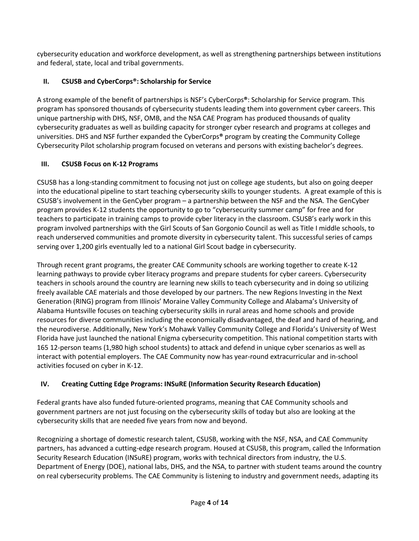cybersecurity education and workforce development, as well as strengthening partnerships between institutions and federal, state, local and tribal governments.

## **II. CSUSB and CyberCorps®: Scholarship for Service**

A strong example of the benefit of partnerships is NSF's CyberCorps**®**: Scholarship for Service program. This program has sponsored thousands of cybersecurity students leading them into government cyber careers. This unique partnership with DHS, NSF, OMB, and the NSA CAE Program has produced thousands of quality cybersecurity graduates as well as building capacity for stronger cyber research and programs at colleges and universities. DHS and NSF further expanded the CyberCorps**®** program by creating the Community College Cybersecurity Pilot scholarship program focused on veterans and persons with existing bachelor's degrees.

# **III. CSUSB Focus on K-12 Programs**

CSUSB has a long-standing commitment to focusing not just on college age students, but also on going deeper into the educational pipeline to start teaching cybersecurity skills to younger students. A great example of this is CSUSB's involvement in the GenCyber program – a partnership between the NSF and the NSA. The GenCyber program provides K-12 students the opportunity to go to "cybersecurity summer camp" for free and for teachers to participate in training camps to provide cyber literacy in the classroom. CSUSB's early work in this program involved partnerships with the Girl Scouts of San Gorgonio Council as well as Title I middle schools, to reach underserved communities and promote diversity in cybersecurity talent. This successful series of camps serving over 1,200 girls eventually led to a national Girl Scout badge in cybersecurity.

Through recent grant programs, the greater CAE Community schools are working together to create K-12 learning pathways to provide cyber literacy programs and prepare students for cyber careers. Cybersecurity teachers in schools around the country are learning new skills to teach cybersecurity and in doing so utilizing freely available CAE materials and those developed by our partners. The new Regions Investing in the Next Generation (RING) program from Illinois' Moraine Valley Community College and Alabama's University of Alabama Huntsville focuses on teaching cybersecurity skills in rural areas and home schools and provide resources for diverse communities including the economically disadvantaged, the deaf and hard of hearing, and the neurodiverse. Additionally, New York's Mohawk Valley Community College and Florida's University of West Florida have just launched the national Enigma cybersecurity competition. This national competition starts with 165 12-person teams (1,980 high school students) to attack and defend in unique cyber scenarios as well as interact with potential employers. The CAE Community now has year-round extracurricular and in-school activities focused on cyber in K-12.

# **IV. Creating Cutting Edge Programs: INSuRE (Information Security Research Education)**

Federal grants have also funded future-oriented programs, meaning that CAE Community schools and government partners are not just focusing on the cybersecurity skills of today but also are looking at the cybersecurity skills that are needed five years from now and beyond.

Recognizing a shortage of domestic research talent, CSUSB, working with the NSF, NSA, and CAE Community partners, has advanced a cutting-edge research program. Housed at CSUSB, this program, called the Information Security Research Education (INSuRE) program, works with technical directors from industry, the U.S. Department of Energy (DOE), national labs, DHS, and the NSA, to partner with student teams around the country on real cybersecurity problems. The CAE Community is listening to industry and government needs, adapting its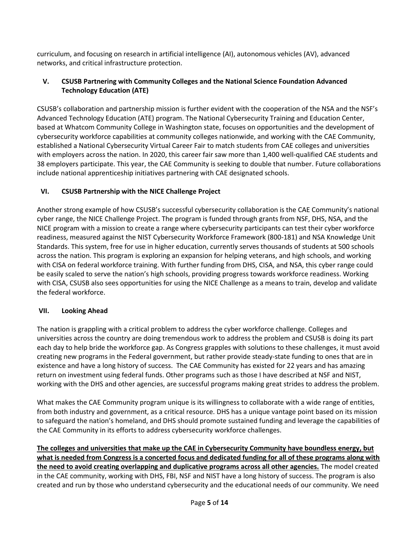curriculum, and focusing on research in artificial intelligence (AI), autonomous vehicles (AV), advanced networks, and critical infrastructure protection.

#### **V. CSUSB Partnering with Community Colleges and the National Science Foundation Advanced Technology Education (ATE)**

CSUSB's collaboration and partnership mission is further evident with the cooperation of the NSA and the NSF's Advanced Technology Education (ATE) program. The National Cybersecurity Training and Education Center, based at Whatcom Community College in Washington state, focuses on opportunities and the development of cybersecurity workforce capabilities at community colleges nationwide, and working with the CAE Community, established a National Cybersecurity Virtual Career Fair to match students from CAE colleges and universities with employers across the nation. In 2020, this career fair saw more than 1,400 well-qualified CAE students and 38 employers participate. This year, the CAE Community is seeking to double that number. Future collaborations include national apprenticeship initiatives partnering with CAE designated schools.

### **VI. CSUSB Partnership with the NICE Challenge Project**

Another strong example of how CSUSB's successful cybersecurity collaboration is the CAE Community's national cyber range, the NICE Challenge Project. The program is funded through grants from NSF, DHS, NSA, and the NICE program with a mission to create a range where cybersecurity participants can test their cyber workforce readiness, measured against the NIST Cybersecurity Workforce Framework (800-181) and NSA Knowledge Unit Standards. This system, free for use in higher education, currently serves thousands of students at 500 schools across the nation. This program is exploring an expansion for helping veterans, and high schools, and working with CISA on federal workforce training. With further funding from DHS, CISA, and NSA, this cyber range could be easily scaled to serve the nation's high schools, providing progress towards workforce readiness. Working with CISA, CSUSB also sees opportunities for using the NICE Challenge as a means to train, develop and validate the federal workforce.

### **VII. Looking Ahead**

The nation is grappling with a critical problem to address the cyber workforce challenge. Colleges and universities across the country are doing tremendous work to address the problem and CSUSB is doing its part each day to help bride the workforce gap. As Congress grapples with solutions to these challenges, it must avoid creating new programs in the Federal government, but rather provide steady-state funding to ones that are in existence and have a long history of success. The CAE Community has existed for 22 years and has amazing return on investment using federal funds. Other programs such as those I have described at NSF and NIST, working with the DHS and other agencies, are successful programs making great strides to address the problem.

What makes the CAE Community program unique is its willingness to collaborate with a wide range of entities, from both industry and government, as a critical resource. DHS has a unique vantage point based on its mission to safeguard the nation's homeland, and DHS should promote sustained funding and leverage the capabilities of the CAE Community in its efforts to address cybersecurity workforce challenges.

**The colleges and universities that make up the CAE in Cybersecurity Community have boundless energy, but what is needed from Congress is a concerted focus and dedicated funding for all of these programs along with the need to avoid creating overlapping and duplicative programs across all other agencies.** The model created in the CAE community, working with DHS, FBI, NSF and NIST have a long history of success. The program is also created and run by those who understand cybersecurity and the educational needs of our community. We need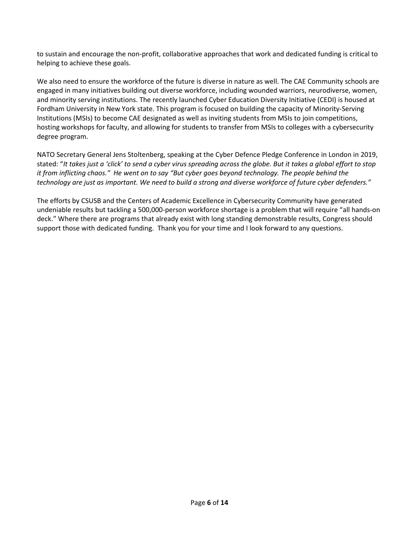to sustain and encourage the non-profit, collaborative approaches that work and dedicated funding is critical to helping to achieve these goals.

We also need to ensure the workforce of the future is diverse in nature as well. The CAE Community schools are engaged in many initiatives building out diverse workforce, including wounded warriors, neurodiverse, women, and minority serving institutions. The recently launched Cyber Education Diversity Initiative (CEDI) is housed at Fordham University in New York state. This program is focused on building the capacity of Minority-Serving Institutions (MSIs) to become CAE designated as well as inviting students from MSIs to join competitions, hosting workshops for faculty, and allowing for students to transfer from MSIs to colleges with a cybersecurity degree program.

NATO Secretary General Jens Stoltenberg, speaking at the Cyber Defence Pledge Conference in London in 2019, stated: "*It takes just a 'click' to send a cyber virus spreading across the globe. But it takes a global effort to stop it from inflicting chaos." He went on to say "But cyber goes beyond technology. The people behind the technology are just as important. We need to build a strong and diverse workforce of future cyber defenders."*

The efforts by CSUSB and the Centers of Academic Excellence in Cybersecurity Community have generated undeniable results but tackling a 500,000-person workforce shortage is a problem that will require "all hands-on deck." Where there are programs that already exist with long standing demonstrable results, Congress should support those with dedicated funding. Thank you for your time and I look forward to any questions.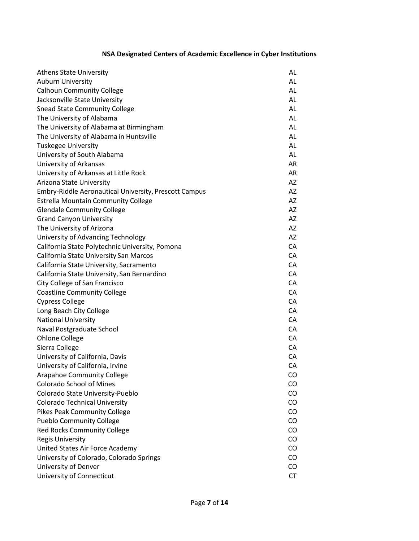# **NSA Designated Centers of Academic Excellence in Cyber Institutions**

| <b>Athens State University</b>                        | AL        |
|-------------------------------------------------------|-----------|
| <b>Auburn University</b>                              | AL        |
| <b>Calhoun Community College</b>                      | AL        |
| Jacksonville State University                         | AL        |
| <b>Snead State Community College</b>                  | AL        |
| The University of Alabama                             | AL        |
| The University of Alabama at Birmingham               | AL        |
| The University of Alabama in Huntsville               | AL        |
| <b>Tuskegee University</b>                            | AL        |
| University of South Alabama                           | AL        |
| University of Arkansas                                | AR        |
| University of Arkansas at Little Rock                 | AR        |
| Arizona State University                              | AZ        |
| Embry-Riddle Aeronautical University, Prescott Campus | AZ        |
| <b>Estrella Mountain Community College</b>            | AZ        |
| <b>Glendale Community College</b>                     | AZ        |
| <b>Grand Canyon University</b>                        | AZ        |
| The University of Arizona                             | AZ        |
| University of Advancing Technology                    | AZ        |
| California State Polytechnic University, Pomona       | CA        |
| California State University San Marcos                | CA        |
| California State University, Sacramento               | CA        |
| California State University, San Bernardino           | CA        |
| City College of San Francisco                         | CA        |
| <b>Coastline Community College</b>                    | CA        |
| <b>Cypress College</b>                                | CA        |
| Long Beach City College                               | CA        |
| <b>National University</b>                            | CA        |
| Naval Postgraduate School                             | CA        |
| <b>Ohlone College</b>                                 | CA        |
| Sierra College                                        | CA        |
| University of California, Davis                       | CA        |
| University of California, Irvine                      | CA        |
| <b>Arapahoe Community College</b>                     | CO        |
| <b>Colorado School of Mines</b>                       | CO        |
| Colorado State University-Pueblo                      | CO        |
| <b>Colorado Technical University</b>                  | CO        |
| <b>Pikes Peak Community College</b>                   | CO        |
| <b>Pueblo Community College</b>                       | CO        |
| Red Rocks Community College                           | CO        |
| <b>Regis University</b>                               | CO        |
| United States Air Force Academy                       | CO        |
| University of Colorado, Colorado Springs              | CO        |
| University of Denver                                  | CO        |
| University of Connecticut                             | <b>CT</b> |
|                                                       |           |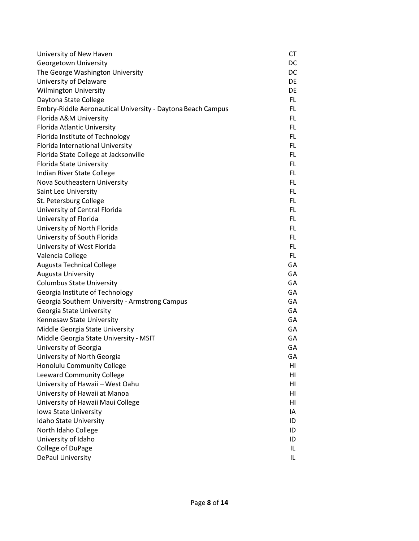| University of New Haven                                     | CT  |
|-------------------------------------------------------------|-----|
| Georgetown University                                       | DC  |
| The George Washington University                            | DC. |
| University of Delaware                                      | DE  |
| <b>Wilmington University</b>                                | DE  |
| Daytona State College                                       | FL. |
| Embry-Riddle Aeronautical University - Daytona Beach Campus | FL  |
| Florida A&M University                                      | FL  |
| <b>Florida Atlantic University</b>                          | FL. |
| Florida Institute of Technology                             | FL. |
| Florida International University                            | FL. |
| Florida State College at Jacksonville                       | FL  |
| Florida State University                                    | FL. |
| Indian River State College                                  | FL. |
| Nova Southeastern University                                | FL  |
| Saint Leo University                                        | FL  |
| St. Petersburg College                                      | FL. |
| University of Central Florida                               | FL. |
| University of Florida                                       | FL  |
| University of North Florida                                 | FL. |
| University of South Florida                                 | FL. |
| University of West Florida                                  | FL. |
| Valencia College                                            | FL. |
| Augusta Technical College                                   | GA  |
| <b>Augusta University</b>                                   | GA  |
| <b>Columbus State University</b>                            | GA  |
| Georgia Institute of Technology                             | GA  |
| Georgia Southern University - Armstrong Campus              | GA  |
| Georgia State University                                    | GA  |
| Kennesaw State University                                   | GA  |
| Middle Georgia State University                             | GA  |
| Middle Georgia State University - MSIT                      | GA  |
| University of Georgia                                       | GA  |
| University of North Georgia                                 | GА  |
| Honolulu Community College                                  | HI  |
| Leeward Community College                                   | HI  |
| University of Hawaii - West Oahu                            | HI  |
| University of Hawaii at Manoa                               | HI  |
| University of Hawaii Maui College                           | HI  |
| Iowa State University                                       | IA  |
| Idaho State University                                      | ID  |
| North Idaho College                                         | ID  |
| University of Idaho                                         | ID  |
| College of DuPage                                           | IL. |
| DePaul University                                           | IL. |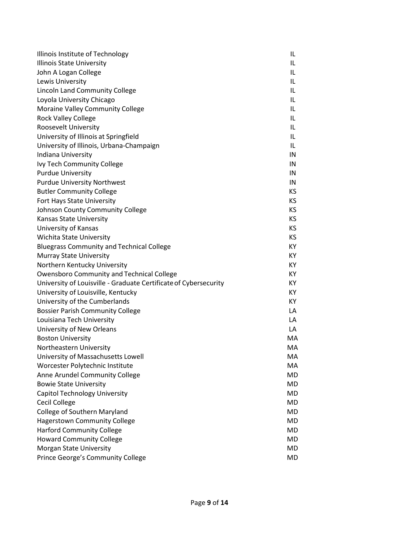| Illinois Institute of Technology                                 | IL        |
|------------------------------------------------------------------|-----------|
| <b>Illinois State University</b>                                 | IL        |
| John A Logan College                                             | IL        |
| Lewis University                                                 | IL        |
| Lincoln Land Community College                                   | IL        |
| Loyola University Chicago                                        | IL        |
| Moraine Valley Community College                                 | IL        |
| <b>Rock Valley College</b>                                       | IL        |
| Roosevelt University                                             | IL        |
| University of Illinois at Springfield                            | IL        |
| University of Illinois, Urbana-Champaign                         | IL        |
| Indiana University                                               | IN        |
| Ivy Tech Community College                                       | IN        |
| <b>Purdue University</b>                                         | IN        |
| <b>Purdue University Northwest</b>                               | IN        |
| <b>Butler Community College</b>                                  | KS        |
| Fort Hays State University                                       | KS        |
| Johnson County Community College                                 | KS        |
| <b>Kansas State University</b>                                   | KS.       |
| University of Kansas                                             | <b>KS</b> |
| <b>Wichita State University</b>                                  | KS.       |
| <b>Bluegrass Community and Technical College</b>                 | KY        |
| Murray State University                                          | KY.       |
| Northern Kentucky University                                     | KY.       |
| <b>Owensboro Community and Technical College</b>                 | KY        |
| University of Louisville - Graduate Certificate of Cybersecurity | KY        |
| University of Louisville, Kentucky                               | KY        |
| University of the Cumberlands                                    | KY        |
| <b>Bossier Parish Community College</b>                          | LA        |
| Louisiana Tech University                                        | LA        |
| University of New Orleans                                        | LA        |
| <b>Boston University</b>                                         | MA        |
| Northeastern University                                          | MA        |
| University of Massachusetts Lowell                               | MA        |
| Worcester Polytechnic Institute                                  | MA        |
| Anne Arundel Community College                                   | MD        |
| <b>Bowie State University</b>                                    | MD        |
| <b>Capitol Technology University</b>                             | <b>MD</b> |
| Cecil College                                                    | MD        |
| College of Southern Maryland                                     | MD        |
| <b>Hagerstown Community College</b>                              | MD        |
| <b>Harford Community College</b>                                 | MD        |
| <b>Howard Community College</b>                                  | MD        |
| Morgan State University                                          | MD        |
| Prince George's Community College                                | MD        |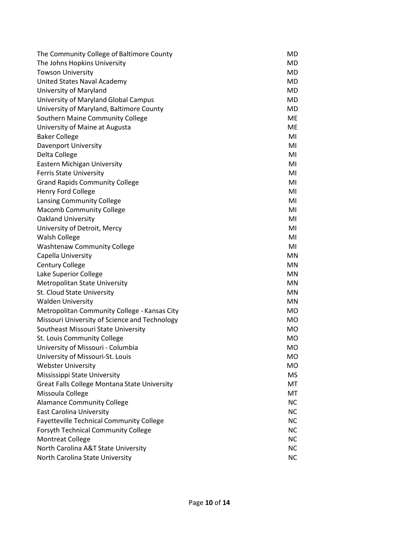| The Community College of Baltimore County     | <b>MD</b> |
|-----------------------------------------------|-----------|
| The Johns Hopkins University                  | MD.       |
| <b>Towson University</b>                      | MD        |
| United States Naval Academy                   | MD.       |
| University of Maryland                        | MD        |
| University of Maryland Global Campus          | MD        |
| University of Maryland, Baltimore County      | <b>MD</b> |
| Southern Maine Community College              | <b>ME</b> |
| University of Maine at Augusta                | <b>ME</b> |
| <b>Baker College</b>                          | MI        |
| Davenport University                          | MI        |
| Delta College                                 | MI        |
| Eastern Michigan University                   | MI        |
| <b>Ferris State University</b>                | MI        |
| <b>Grand Rapids Community College</b>         | MI        |
| Henry Ford College                            | MI        |
| Lansing Community College                     | MI        |
| <b>Macomb Community College</b>               | MI        |
| <b>Oakland University</b>                     | MI        |
| University of Detroit, Mercy                  | MI        |
| Walsh College                                 | MI        |
| <b>Washtenaw Community College</b>            | MI        |
| Capella University                            | MN        |
| <b>Century College</b>                        | <b>MN</b> |
| Lake Superior College                         | MN        |
| Metropolitan State University                 | MN        |
| St. Cloud State University                    | <b>MN</b> |
| <b>Walden University</b>                      | <b>MN</b> |
| Metropolitan Community College - Kansas City  | <b>MO</b> |
| Missouri University of Science and Technology | <b>MO</b> |
| Southeast Missouri State University           | <b>MO</b> |
| St. Louis Community College                   | <b>MO</b> |
| University of Missouri - Columbia             | <b>MO</b> |
| University of Missouri-St. Louis              | <b>MO</b> |
| <b>Webster University</b>                     | MO.       |
| Mississippi State University                  | MS        |
| Great Falls College Montana State University  | МT        |
| Missoula College                              | МT        |
| <b>Alamance Community College</b>             | <b>NC</b> |
| <b>East Carolina University</b>               | <b>NC</b> |
| Fayetteville Technical Community College      | <b>NC</b> |
| <b>Forsyth Technical Community College</b>    | <b>NC</b> |
| <b>Montreat College</b>                       | <b>NC</b> |
| North Carolina A&T State University           | <b>NC</b> |
| North Carolina State University               | <b>NC</b> |
|                                               |           |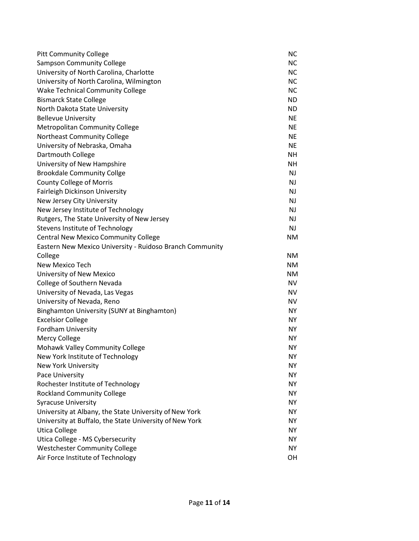|                                                                   | <b>NC</b> |
|-------------------------------------------------------------------|-----------|
| <b>Pitt Community College</b><br><b>Sampson Community College</b> | <b>NC</b> |
| University of North Carolina, Charlotte                           | <b>NC</b> |
| University of North Carolina, Wilmington                          | <b>NC</b> |
| <b>Wake Technical Community College</b>                           | <b>NC</b> |
| <b>Bismarck State College</b>                                     | <b>ND</b> |
| North Dakota State University                                     | <b>ND</b> |
| <b>Bellevue University</b>                                        | <b>NE</b> |
| <b>Metropolitan Community College</b>                             | <b>NE</b> |
| Northeast Community College                                       | <b>NE</b> |
| University of Nebraska, Omaha                                     | <b>NE</b> |
| Dartmouth College                                                 | <b>NH</b> |
| University of New Hampshire                                       | <b>NH</b> |
| <b>Brookdale Community Collge</b>                                 | NJ        |
| <b>County College of Morris</b>                                   | NJ        |
| Fairleigh Dickinson University                                    | NJ        |
| New Jersey City University                                        | NJ        |
| New Jersey Institute of Technology                                | NJ        |
| Rutgers, The State University of New Jersey                       | NJ        |
| Stevens Institute of Technology                                   | NJ.       |
| <b>Central New Mexico Community College</b>                       | ΝM        |
| Eastern New Mexico University - Ruidoso Branch Community          |           |
| College                                                           | <b>NM</b> |
| New Mexico Tech                                                   | <b>NM</b> |
| University of New Mexico                                          | <b>NM</b> |
| College of Southern Nevada                                        | <b>NV</b> |
| University of Nevada, Las Vegas                                   | <b>NV</b> |
| University of Nevada, Reno                                        | <b>NV</b> |
| Binghamton University (SUNY at Binghamton)                        | <b>NY</b> |
| <b>Excelsior College</b>                                          | NY        |
| Fordham University                                                | <b>NY</b> |
| Mercy College                                                     | NY        |
| <b>Mohawk Valley Community College</b>                            | NY        |
| New York Institute of Technology                                  | <b>NY</b> |
| New York University                                               | NY        |
| Pace University                                                   | <b>NY</b> |
| Rochester Institute of Technology                                 | <b>NY</b> |
| <b>Rockland Community College</b>                                 | NY.       |
| <b>Syracuse University</b>                                        | <b>NY</b> |
| University at Albany, the State University of New York            | <b>NY</b> |
| University at Buffalo, the State University of New York           | <b>NY</b> |
| <b>Utica College</b>                                              | <b>NY</b> |
| Utica College - MS Cybersecurity                                  | <b>NY</b> |
| <b>Westchester Community College</b>                              | <b>NY</b> |
| Air Force Institute of Technology                                 | OH        |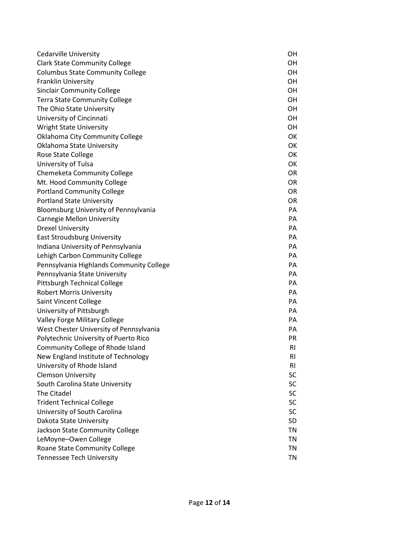| Cedarville University                    | OН        |
|------------------------------------------|-----------|
| <b>Clark State Community College</b>     | OН        |
| <b>Columbus State Community College</b>  | OН        |
| <b>Franklin University</b>               | OН        |
| <b>Sinclair Community College</b>        | OН        |
| <b>Terra State Community College</b>     | OН        |
| The Ohio State University                | OН        |
| University of Cincinnati                 | OН        |
| <b>Wright State University</b>           | OН        |
| <b>Oklahoma City Community College</b>   | OK        |
| Oklahoma State University                | OK        |
| Rose State College                       | OK        |
| University of Tulsa                      | OK        |
| Chemeketa Community College              | <b>OR</b> |
| Mt. Hood Community College               | <b>OR</b> |
| <b>Portland Community College</b>        | <b>OR</b> |
| <b>Portland State University</b>         | <b>OR</b> |
| Bloomsburg University of Pennsylvania    | PA        |
| Carnegie Mellon University               | PA        |
| <b>Drexel University</b>                 | PA        |
| <b>East Stroudsburg University</b>       | PA        |
| Indiana University of Pennsylvania       | PA        |
| Lehigh Carbon Community College          | PA        |
| Pennsylvania Highlands Community College | PA        |
| Pennsylvania State University            | PA        |
| Pittsburgh Technical College             | PA        |
| <b>Robert Morris University</b>          | PA        |
| Saint Vincent College                    | PA        |
| University of Pittsburgh                 | PA        |
| Valley Forge Military College            | PA        |
| West Chester University of Pennsylvania  | PA        |
| Polytechnic University of Puerto Rico    | <b>PR</b> |
| Community College of Rhode Island        | <b>RI</b> |
| New England Institute of Technology      | RI        |
| University of Rhode Island               | <b>RI</b> |
| <b>Clemson University</b>                | SC        |
| South Carolina State University          | <b>SC</b> |
| The Citadel                              | SC        |
| <b>Trident Technical College</b>         | SC        |
| University of South Carolina             | <b>SC</b> |
| Dakota State University                  | SD        |
| Jackson State Community College          | <b>TN</b> |
| LeMoyne-Owen College                     | <b>TN</b> |
| Roane State Community College            | <b>TN</b> |
| <b>Tennessee Tech University</b>         | <b>TN</b> |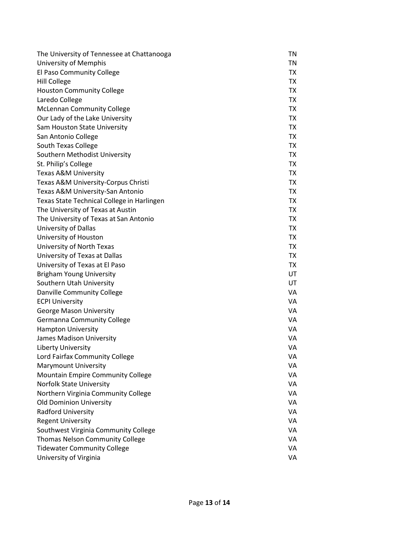| The University of Tennessee at Chattanooga | <b>TN</b> |
|--------------------------------------------|-----------|
| University of Memphis                      | TN        |
| El Paso Community College                  | TX        |
| <b>Hill College</b>                        | TX        |
| <b>Houston Community College</b>           | <b>TX</b> |
| Laredo College                             | <b>TX</b> |
| <b>McLennan Community College</b>          | <b>TX</b> |
| Our Lady of the Lake University            | <b>TX</b> |
| Sam Houston State University               | <b>TX</b> |
| San Antonio College                        | <b>TX</b> |
| South Texas College                        | TX        |
| Southern Methodist University              | <b>TX</b> |
| St. Philip's College                       | <b>TX</b> |
| <b>Texas A&amp;M University</b>            | <b>TX</b> |
| Texas A&M University-Corpus Christi        | <b>TX</b> |
| Texas A&M University-San Antonio           | TX        |
| Texas State Technical College in Harlingen | <b>TX</b> |
| The University of Texas at Austin          | <b>TX</b> |
| The University of Texas at San Antonio     | <b>TX</b> |
| University of Dallas                       | TX        |
| University of Houston                      | <b>TX</b> |
| University of North Texas                  | <b>TX</b> |
| University of Texas at Dallas              | <b>TX</b> |
| University of Texas at El Paso             | <b>TX</b> |
| <b>Brigham Young University</b>            | UT        |
| Southern Utah University                   | UT        |
| Danville Community College                 | VA        |
| <b>ECPI University</b>                     | VA        |
| <b>George Mason University</b>             | VA        |
| Germanna Community College                 | VA        |
| <b>Hampton University</b>                  | VA        |
| James Madison University                   | VA        |
| Liberty University                         | VA        |
| Lord Fairfax Community College             | VA        |
| Marymount University                       | VA        |
| Mountain Empire Community College          | VA        |
| <b>Norfolk State University</b>            | VA        |
| Northern Virginia Community College        | VA        |
| <b>Old Dominion University</b>             | VA        |
| <b>Radford University</b>                  | VA        |
| <b>Regent University</b>                   | VA        |
| Southwest Virginia Community College       | VA        |
| <b>Thomas Nelson Community College</b>     | VA        |
| <b>Tidewater Community College</b>         | VA        |
| University of Virginia                     | VA        |
|                                            |           |